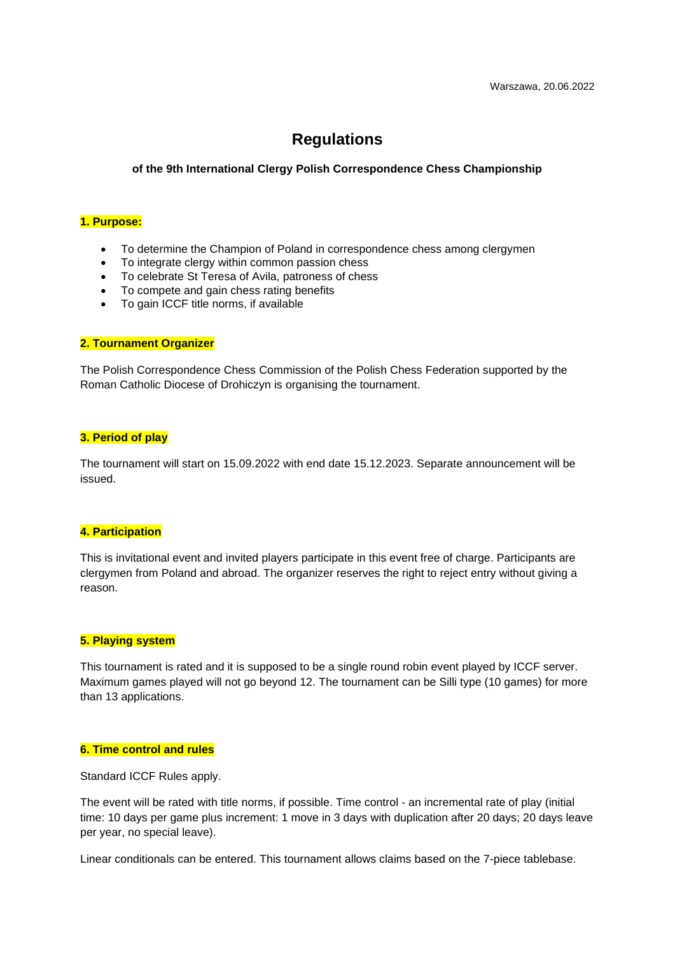# **Regulations**

**of the 9th International Clergy Polish Correspondence Chess Championship**

# **1. Purpose:**

- To determine the Champion of Poland in correspondence chess among clergymen
- To integrate clergy within common passion chess
- To celebrate St Teresa of Avila, patroness of chess
- To compete and gain chess rating benefits
- To gain ICCF title norms, if available

#### **2. Tournament Organizer**

The Polish Correspondence Chess Commission of the Polish Chess Federation supported by the Roman Catholic Diocese of Drohiczyn is organising the tournament.

#### **3. Period of play**

The tournament will start on 15.09.2022 with end date 15.12.2023. Separate announcement will be issued.

#### **4. Participation**

This is invitational event and invited players participate in this event free of charge. Participants are clergymen from Poland and abroad. The organizer reserves the right to reject entry without giving a reason.

## **5. Playing system**

This tournament is rated and it is supposed to be a single round robin event played by ICCF server. Maximum games played will not go beyond 12. The tournament can be Silli type (10 games) for more than 13 applications.

## **6. Time control and rules**

Standard ICCF Rules apply.

The event will be rated with title norms, if possible. Time control - an incremental rate of play (initial time: 10 days per game plus increment: 1 move in 3 days with duplication after 20 days; 20 days leave per year, no special leave).

Linear conditionals can be entered. This tournament allows claims based on the 7-piece tablebase.